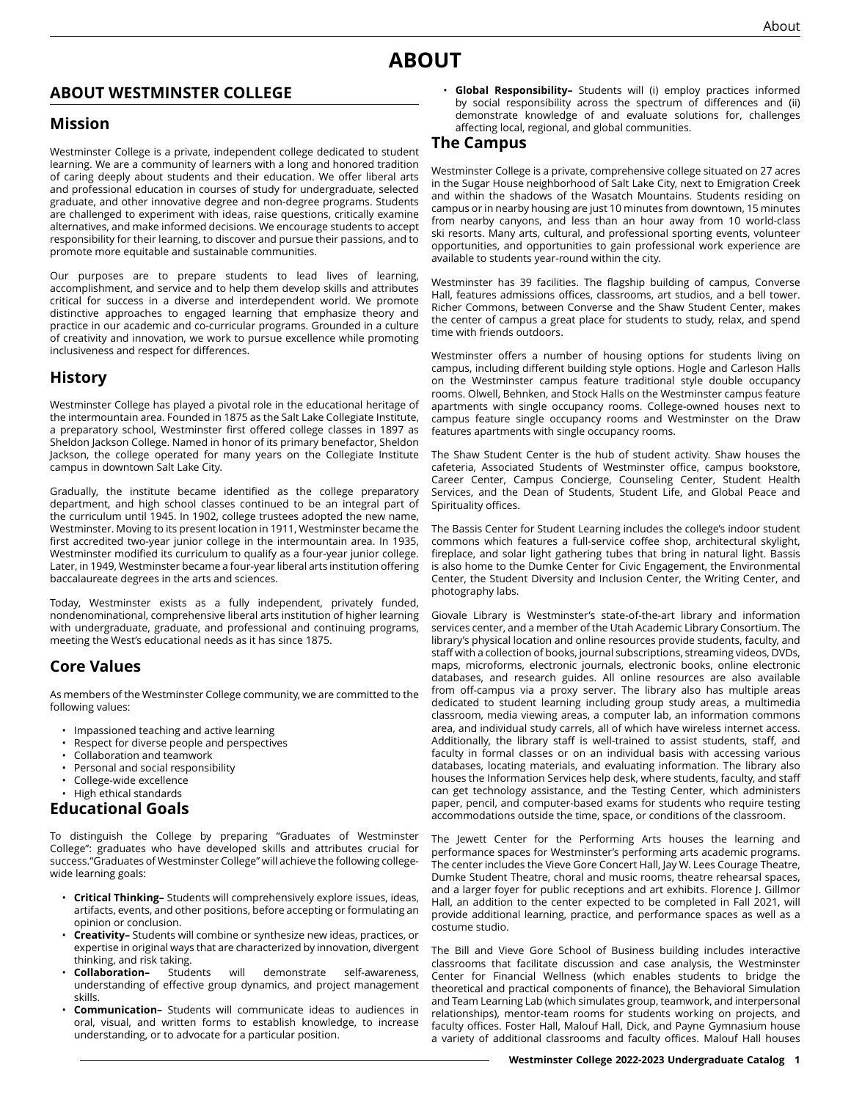# **ABOUT**

### **ABOUT WESTMINSTER COLLEGE**

#### **Mission**

Westminster College is a private, independent college dedicated to student learning. We are a community of learners with a long and honored tradition of caring deeply about students and their education. We offer liberal arts and professional education in courses of study for undergraduate, selected graduate, and other innovative degree and non-degree programs. Students are challenged to experiment with ideas, raise questions, critically examine alternatives, and make informed decisions. We encourage students to accept responsibility for their learning, to discover and pursue their passions, and to promote more equitable and sustainable communities.

Our purposes are to prepare students to lead lives of learning, accomplishment, and service and to help them develop skills and attributes critical for success in a diverse and interdependent world. We promote distinctive approaches to engaged learning that emphasize theory and practice in our academic and co-curricular programs. Grounded in a culture of creativity and innovation, we work to pursue excellence while promoting inclusiveness and respect for differences.

## **History**

Westminster College has played a pivotal role in the educational heritage of the intermountain area. Founded in 1875 as the Salt Lake Collegiate Institute, a preparatory school, Westminster first offered college classes in 1897 as Sheldon Jackson College. Named in honor of its primary benefactor, Sheldon Jackson, the college operated for many years on the Collegiate Institute campus in downtown Salt Lake City.

Gradually, the institute became identified as the college preparatory department, and high school classes continued to be an integral part of the curriculum until 1945. In 1902, college trustees adopted the new name, Westminster. Moving to its present location in 1911, Westminster became the first accredited two-year junior college in the intermountain area. In 1935, Westminster modified its curriculum to qualify as a four-year junior college. Later, in 1949, Westminster became a four-year liberal arts institution offering baccalaureate degrees in the arts and sciences.

Today, Westminster exists as a fully independent, privately funded, nondenominational, comprehensive liberal arts institution of higher learning with undergraduate, graduate, and professional and continuing programs, meeting the West's educational needs as it has since 1875.

## **Core Values**

As members of the Westminster College community, we are committed to the following values:

- Impassioned teaching and active learning
- Respect for diverse people and perspectives
- Collaboration and teamwork
- Personal and social responsibility
- College-wide excellence

#### • High ethical standards **Educational Goals**

To distinguish the College by preparing "Graduates of Westminster College": graduates who have developed skills and attributes crucial for success."Graduates of Westminster College" will achieve the following collegewide learning goals:

- **Critical Thinking–** Students will comprehensively explore issues, ideas, artifacts, events, and other positions, before accepting or formulating an opinion or conclusion.
- **Creativity–** Students will combine or synthesize new ideas, practices, or expertise in original ways that are characterized by innovation, divergent thinking, and risk taking.
- **Collaboration–** Students will demonstrate self-awareness, understanding of effective group dynamics, and project management skills.
- **Communication–** Students will communicate ideas to audiences in oral, visual, and written forms to establish knowledge, to increase understanding, or to advocate for a particular position.

• **Global Responsibility–** Students will (i) employ practices informed by social responsibility across the spectrum of differences and (ii) demonstrate knowledge of and evaluate solutions for, challenges affecting local, regional, and global communities.

#### **The Campus**

Westminster College is a private, comprehensive college situated on 27 acres in the Sugar House neighborhood of Salt Lake City, next to Emigration Creek and within the shadows of the Wasatch Mountains. Students residing on campus or in nearby housing are just 10 minutes from downtown, 15 minutes from nearby canyons, and less than an hour away from 10 world-class ski resorts. Many arts, cultural, and professional sporting events, volunteer opportunities, and opportunities to gain professional work experience are available to students year-round within the city.

Westminster has 39 facilities. The flagship building of campus, Converse Hall, features admissions offices, classrooms, art studios, and a bell tower. Richer Commons, between Converse and the Shaw Student Center, makes the center of campus a great place for students to study, relax, and spend time with friends outdoors.

Westminster offers a number of housing options for students living on campus, including different building style options. Hogle and Carleson Halls on the Westminster campus feature traditional style double occupancy rooms. Olwell, Behnken, and Stock Halls on the Westminster campus feature apartments with single occupancy rooms. College-owned houses next to campus feature single occupancy rooms and Westminster on the Draw features apartments with single occupancy rooms.

The Shaw Student Center is the hub of student activity. Shaw houses the cafeteria, Associated Students of Westminster office, campus bookstore, Career Center, Campus Concierge, Counseling Center, Student Health Services, and the Dean of Students, Student Life, and Global Peace and Spirituality offices.

The Bassis Center for Student Learning includes the college's indoor student commons which features a full-service coffee shop, architectural skylight, fireplace, and solar light gathering tubes that bring in natural light. Bassis is also home to the Dumke Center for Civic Engagement, the Environmental Center, the Student Diversity and Inclusion Center, the Writing Center, and photography labs.

Giovale Library is Westminster's state-of-the-art library and information services center, and a member of the Utah Academic Library Consortium. The library's physical location and online resources provide students, faculty, and staff with a collection of books, journal subscriptions, streaming videos, DVDs, maps, microforms, electronic journals, electronic books, online electronic databases, and research guides. All online resources are also available from off-campus via a proxy server. The library also has multiple areas dedicated to student learning including group study areas, a multimedia classroom, media viewing areas, a computer lab, an information commons area, and individual study carrels, all of which have wireless internet access. Additionally, the library staff is well-trained to assist students, staff, and faculty in formal classes or on an individual basis with accessing various databases, locating materials, and evaluating information. The library also houses the Information Services help desk, where students, faculty, and staff can get technology assistance, and the Testing Center, which administers paper, pencil, and computer-based exams for students who require testing accommodations outside the time, space, or conditions of the classroom.

The Jewett Center for the Performing Arts houses the learning and performance spaces for Westminster's performing arts academic programs. The center includes the Vieve Gore Concert Hall, Jay W. Lees Courage Theatre, Dumke Student Theatre, choral and music rooms, theatre rehearsal spaces, and a larger foyer for public receptions and art exhibits. Florence J. Gillmor Hall, an addition to the center expected to be completed in Fall 2021, will provide additional learning, practice, and performance spaces as well as a costume studio.

The Bill and Vieve Gore School of Business building includes interactive classrooms that facilitate discussion and case analysis, the Westminster Center for Financial Wellness (which enables students to bridge the theoretical and practical components of finance), the Behavioral Simulation and Team Learning Lab (which simulates group, teamwork, and interpersonal relationships), mentor-team rooms for students working on projects, and faculty offices. Foster Hall, Malouf Hall, Dick, and Payne Gymnasium house a variety of additional classrooms and faculty offices. Malouf Hall houses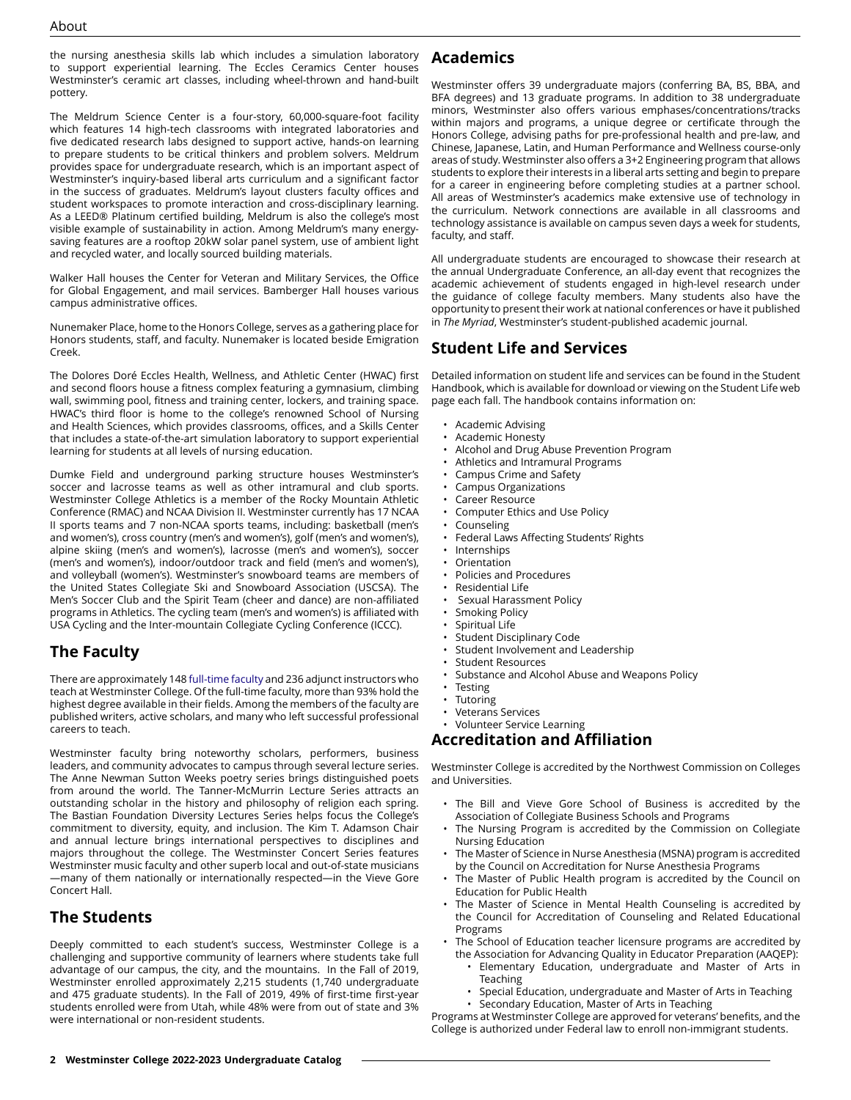the nursing anesthesia skills lab which includes a simulation laboratory to support experiential learning. The Eccles Ceramics Center houses Westminster's ceramic art classes, including wheel-thrown and hand-built pottery.

The Meldrum Science Center is a four-story, 60,000-square-foot facility which features 14 high-tech classrooms with integrated laboratories and five dedicated research labs designed to support active, hands-on learning to prepare students to be critical thinkers and problem solvers. Meldrum provides space for undergraduate research, which is an important aspect of Westminster's inquiry-based liberal arts curriculum and a significant factor in the success of graduates. Meldrum's layout clusters faculty offices and student workspaces to promote interaction and cross-disciplinary learning. As a LEED® Platinum certified building, Meldrum is also the college's most visible example of sustainability in action. Among Meldrum's many energysaving features are a rooftop 20kW solar panel system, use of ambient light and recycled water, and locally sourced building materials.

Walker Hall houses the Center for Veteran and Military Services, the Office for Global Engagement, and mail services. Bamberger Hall houses various campus administrative offices.

Nunemaker Place, home to the Honors College, serves as a gathering place for Honors students, staff, and faculty. Nunemaker is located beside Emigration Creek.

The Dolores Doré Eccles Health, Wellness, and Athletic Center (HWAC) first and second floors house a fitness complex featuring a gymnasium, climbing wall, swimming pool, fitness and training center, lockers, and training space. HWAC's third floor is home to the college's renowned School of Nursing and Health Sciences, which provides classrooms, offices, and a Skills Center that includes a state-of-the-art simulation laboratory to support experiential learning for students at all levels of nursing education.

Dumke Field and underground parking structure houses Westminster's soccer and lacrosse teams as well as other intramural and club sports. Westminster College Athletics is a member of the Rocky Mountain Athletic Conference (RMAC) and NCAA Division II. Westminster currently has 17 NCAA II sports teams and 7 non-NCAA sports teams, including: basketball (men's and women's), cross country (men's and women's), golf (men's and women's), alpine skiing (men's and women's), lacrosse (men's and women's), soccer (men's and women's), indoor/outdoor track and field (men's and women's), and volleyball (women's). Westminster's snowboard teams are members of the United States Collegiate Ski and Snowboard Association (USCSA). The Men's Soccer Club and the Spirit Team (cheer and dance) are non-affiliated programs in Athletics. The cycling team (men's and women's) is affiliated with USA Cycling and the Inter-mountain Collegiate Cycling Conference (ICCC).

## **The Faculty**

There are approximately 148 [full-time faculty a](https://catalog.westminstercollege.edu/current/undergraduate/about/administration-and-faculty.html)nd 236 adjunct instructors who teach at Westminster College. Of the full-time faculty, more than 93% hold the highest degree available in their fields. Among the members of the faculty are published writers, active scholars, and many who left successful professional careers to teach.

Westminster faculty bring noteworthy scholars, performers, business leaders, and community advocates to campus through several lecture series. The Anne Newman Sutton Weeks poetry series brings distinguished poets from around the world. The Tanner-McMurrin Lecture Series attracts an outstanding scholar in the history and philosophy of religion each spring. The Bastian Foundation Diversity Lectures Series helps focus the College's commitment to diversity, equity, and inclusion. The Kim T. Adamson Chair and annual lecture brings international perspectives to disciplines and majors throughout the college. The Westminster Concert Series features Westminster music faculty and other superb local and out-of-state musicians —many of them nationally or internationally respected—in the Vieve Gore Concert Hall.

## **The Students**

Deeply committed to each student's success, Westminster College is a challenging and supportive community of learners where students take full advantage of our campus, the city, and the mountains. In the Fall of 2019, Westminster enrolled approximately 2,215 students (1,740 undergraduate and 475 graduate students). In the Fall of 2019, 49% of first-time first-year students enrolled were from Utah, while 48% were from out of state and 3% were international or non-resident students.

## **Academics**

Westminster offers 39 undergraduate majors (conferring BA, BS, BBA, and BFA degrees) and 13 graduate programs. In addition to 38 undergraduate minors, Westminster also offers various emphases/concentrations/tracks within majors and programs, a unique degree or certificate through the Honors College, advising paths for pre-professional health and pre-law, and Chinese, Japanese, Latin, and Human Performance and Wellness course-only areas of study. Westminster also offers a 3+2 Engineering program that allows students to explore their interests in a liberal arts setting and begin to prepare for a career in engineering before completing studies at a partner school. All areas of Westminster's academics make extensive use of technology in the curriculum. Network connections are available in all classrooms and technology assistance is available on campus seven days a week for students, faculty, and staff.

All undergraduate students are encouraged to showcase their research at the annual Undergraduate Conference, an all-day event that recognizes the academic achievement of students engaged in high-level research under the guidance of college faculty members. Many students also have the opportunity to present their work at national conferences or have it published in *The Myriad*, Westminster's student-published academic journal.

## **Student Life and Services**

Detailed information on student life and services can be found in the Student Handbook, which is available for download or viewing on the Student Life web page each fall. The handbook contains information on:

- Academic Advising
- Academic Honesty
- Alcohol and Drug Abuse Prevention Program
- Athletics and Intramural Programs
- Campus Crime and Safety
- Campus Organizations
- Career Resource
- Computer Ethics and Use Policy
- **Counseling**
- Federal Laws Affecting Students' Rights
- **Internships**
- **Orientation**
- Policies and Procedures
- Residential Life
- Sexual Harassment Policy
- Smoking Policy
- Spiritual Life
- Student Disciplinary Code
- Student Involvement and Leadership
- Student Resources
- Substance and Alcohol Abuse and Weapons Policy
- **Testing**
- **Tutoring**
- Veterans Services • Volunteer Service Learning

## **Accreditation and Affiliation**

Westminster College is accredited by the Northwest Commission on Colleges and Universities.

- The Bill and Vieve Gore School of Business is accredited by the Association of Collegiate Business Schools and Programs
- The Nursing Program is accredited by the Commission on Collegiate Nursing Education
- The Master of Science in Nurse Anesthesia (MSNA) program is accredited by the Council on Accreditation for Nurse Anesthesia Programs
- The Master of Public Health program is accredited by the Council on Education for Public Health
- The Master of Science in Mental Health Counseling is accredited by the Council for Accreditation of Counseling and Related Educational Programs
- The School of Education teacher licensure programs are accredited by the Association for Advancing Quality in Educator Preparation (AAQEP):
	- Elementary Education, undergraduate and Master of Arts in Teaching
	- Special Education, undergraduate and Master of Arts in Teaching
- Secondary Education, Master of Arts in Teaching

Programs at Westminster College are approved for veterans' benefits, and the College is authorized under Federal law to enroll non-immigrant students.